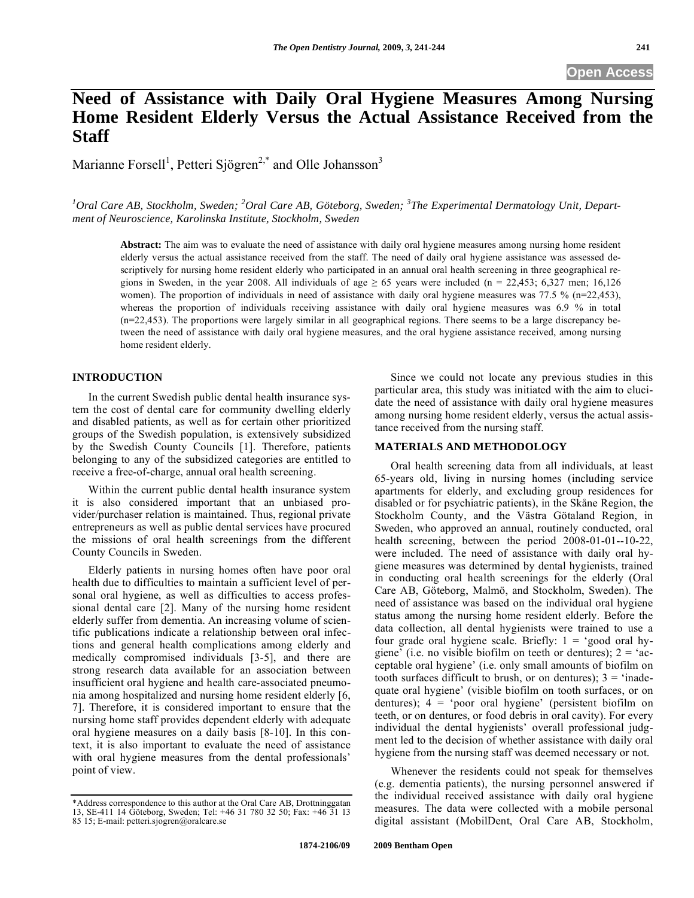# **Need of Assistance with Daily Oral Hygiene Measures Among Nursing Home Resident Elderly Versus the Actual Assistance Received from the Staff**

Marianne Forsell<sup>1</sup>, Petteri Sjögren<sup>2,\*</sup> and Olle Johansson<sup>3</sup>

<sup>1</sup> Oral Care AB, Stockholm, Sweden; <sup>2</sup> Oral Care AB, Göteborg, Sweden; <sup>3</sup>The Experimental Dermatology Unit, Depart*ment of Neuroscience, Karolinska Institute, Stockholm, Sweden* 

**Abstract:** The aim was to evaluate the need of assistance with daily oral hygiene measures among nursing home resident elderly versus the actual assistance received from the staff. The need of daily oral hygiene assistance was assessed descriptively for nursing home resident elderly who participated in an annual oral health screening in three geographical regions in Sweden, in the year 2008. All individuals of age  $\geq 65$  years were included (n = 22,453; 6,327 men; 16,126 women). The proportion of individuals in need of assistance with daily oral hygiene measures was 77.5 % (n=22,453), whereas the proportion of individuals receiving assistance with daily oral hygiene measures was 6.9 % in total (n=22,453). The proportions were largely similar in all geographical regions. There seems to be a large discrepancy between the need of assistance with daily oral hygiene measures, and the oral hygiene assistance received, among nursing home resident elderly.

# **INTRODUCTION**

In the current Swedish public dental health insurance system the cost of dental care for community dwelling elderly and disabled patients, as well as for certain other prioritized groups of the Swedish population, is extensively subsidized by the Swedish County Councils [1]. Therefore, patients belonging to any of the subsidized categories are entitled to receive a free-of-charge, annual oral health screening.

Within the current public dental health insurance system it is also considered important that an unbiased provider/purchaser relation is maintained. Thus, regional private entrepreneurs as well as public dental services have procured the missions of oral health screenings from the different County Councils in Sweden.

Elderly patients in nursing homes often have poor oral health due to difficulties to maintain a sufficient level of personal oral hygiene, as well as difficulties to access professional dental care [2]. Many of the nursing home resident elderly suffer from dementia. An increasing volume of scientific publications indicate a relationship between oral infections and general health complications among elderly and medically compromised individuals [3-5], and there are strong research data available for an association between insufficient oral hygiene and health care-associated pneumonia among hospitalized and nursing home resident elderly [6, 7]. Therefore, it is considered important to ensure that the nursing home staff provides dependent elderly with adequate oral hygiene measures on a daily basis [8-10]. In this context, it is also important to evaluate the need of assistance with oral hygiene measures from the dental professionals' point of view.

Since we could not locate any previous studies in this particular area, this study was initiated with the aim to elucidate the need of assistance with daily oral hygiene measures among nursing home resident elderly, versus the actual assistance received from the nursing staff.

## **MATERIALS AND METHODOLOGY**

Oral health screening data from all individuals, at least 65-years old, living in nursing homes (including service apartments for elderly, and excluding group residences for disabled or for psychiatric patients), in the Skåne Region, the Stockholm County, and the Västra Götaland Region, in Sweden, who approved an annual, routinely conducted, oral health screening, between the period 2008-01-01--10-22, were included. The need of assistance with daily oral hygiene measures was determined by dental hygienists, trained in conducting oral health screenings for the elderly (Oral Care AB, Göteborg, Malmö, and Stockholm, Sweden). The need of assistance was based on the individual oral hygiene status among the nursing home resident elderly. Before the data collection, all dental hygienists were trained to use a four grade oral hygiene scale. Briefly:  $1 =$  'good oral hygiene' (i.e. no visible biofilm on teeth or dentures);  $2 = 'ac$ ceptable oral hygiene' (i.e. only small amounts of biofilm on tooth surfaces difficult to brush, or on dentures);  $3 = \text{'inade}$ quate oral hygiene' (visible biofilm on tooth surfaces, or on dentures); 4 = 'poor oral hygiene' (persistent biofilm on teeth, or on dentures, or food debris in oral cavity). For every individual the dental hygienists' overall professional judgment led to the decision of whether assistance with daily oral hygiene from the nursing staff was deemed necessary or not.

Whenever the residents could not speak for themselves (e.g. dementia patients), the nursing personnel answered if the individual received assistance with daily oral hygiene measures. The data were collected with a mobile personal digital assistant (MobilDent, Oral Care AB, Stockholm,

<sup>\*</sup>Address correspondence to this author at the Oral Care AB, Drottninggatan 13, SE-411 14 Göteborg, Sweden; Tel: +46 31 780 32 50; Fax: +46 31 13 85 15; E-mail: petteri.sjogren@oralcare.se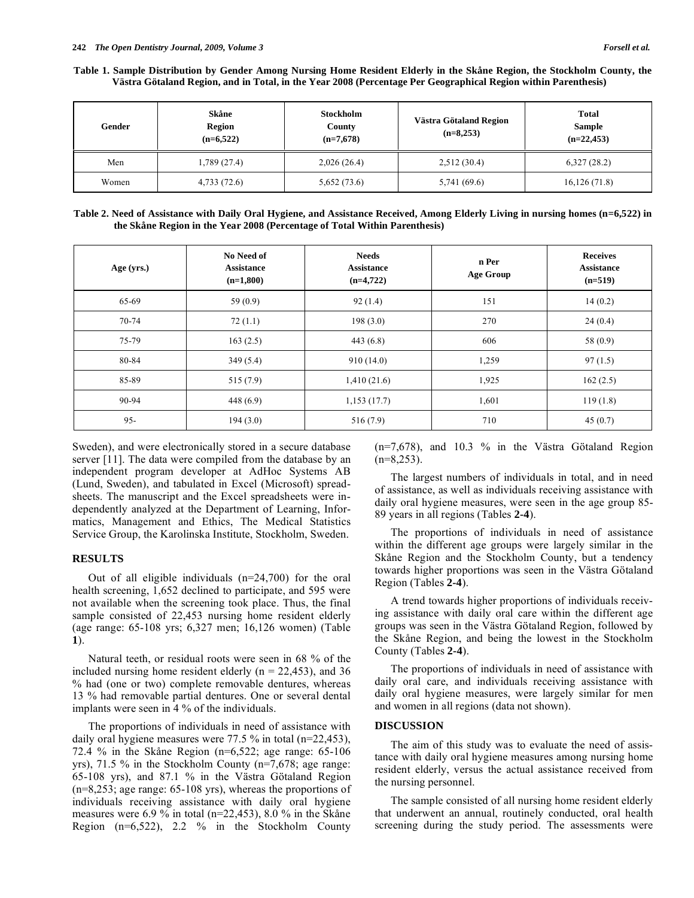**Table 1. Sample Distribution by Gender Among Nursing Home Resident Elderly in the Skåne Region, the Stockholm County, the Västra Götaland Region, and in Total, in the Year 2008 (Percentage Per Geographical Region within Parenthesis)** 

| Gender | Skåne<br><b>Region</b><br>$(n=6,522)$ | Stockholm<br>County<br>$(n=7,678)$ | Västra Götaland Region<br>$(n=8,253)$ | <b>Total</b><br>Sample<br>$(n=22,453)$ |
|--------|---------------------------------------|------------------------------------|---------------------------------------|----------------------------------------|
| Men    | 1,789 (27.4)                          | 2,026(26.4)                        | 2,512(30.4)                           | 6,327(28.2)                            |
| Women  | 4,733(72.6)                           | 5,652(73.6)                        | 5,741 (69.6)                          | 16,126(71.8)                           |

| Table 2. Need of Assistance with Daily Oral Hygiene, and Assistance Received, Among Elderly Living in nursing homes (n=6,522) in |
|----------------------------------------------------------------------------------------------------------------------------------|
| the Skåne Region in the Year 2008 (Percentage of Total Within Parenthesis)                                                       |

| Age (yrs.) | No Need of<br><b>Assistance</b><br>$(n=1,800)$ | <b>Needs</b><br><b>Assistance</b><br>$(n=4,722)$ | n Per<br><b>Age Group</b> | <b>Receives</b><br><b>Assistance</b><br>$(n=519)$ |
|------------|------------------------------------------------|--------------------------------------------------|---------------------------|---------------------------------------------------|
| 65-69      | 59 $(0.9)$                                     | 92(1.4)                                          | 151                       | 14(0.2)                                           |
| 70-74      | 72(1.1)                                        | 198(3.0)                                         | 270                       | 24(0.4)                                           |
| 75-79      | 163(2.5)                                       | 443(6.8)                                         | 606                       | 58 (0.9)                                          |
| 80-84      | 349(5.4)                                       | 910(14.0)                                        | 1,259                     | 97(1.5)                                           |
| 85-89      | 515(7.9)                                       | 1,410(21.6)                                      | 1,925                     | 162(2.5)                                          |
| 90-94      | 448(6.9)                                       | 1,153(17.7)                                      | 1,601                     | 119(1.8)                                          |
| $95 -$     | 194(3.0)                                       | 516(7.9)                                         | 710                       | 45(0.7)                                           |

Sweden), and were electronically stored in a secure database server [11]. The data were compiled from the database by an independent program developer at AdHoc Systems AB (Lund, Sweden), and tabulated in Excel (Microsoft) spreadsheets. The manuscript and the Excel spreadsheets were independently analyzed at the Department of Learning, Informatics, Management and Ethics, The Medical Statistics Service Group, the Karolinska Institute, Stockholm, Sweden.

#### **RESULTS**

Out of all eligible individuals (n=24,700) for the oral health screening, 1,652 declined to participate, and 595 were not available when the screening took place. Thus, the final sample consisted of 22,453 nursing home resident elderly (age range: 65-108 yrs; 6,327 men; 16,126 women) (Table **1**).

Natural teeth, or residual roots were seen in 68 % of the included nursing home resident elderly  $(n = 22,453)$ , and 36 % had (one or two) complete removable dentures, whereas 13 % had removable partial dentures. One or several dental implants were seen in 4 % of the individuals.

The proportions of individuals in need of assistance with daily oral hygiene measures were 77.5 % in total (n=22,453), 72.4 % in the Skåne Region (n=6,522; age range: 65-106 yrs), 71.5 % in the Stockholm County (n=7,678; age range: 65-108 yrs), and 87.1 % in the Västra Götaland Region (n=8,253; age range: 65-108 yrs), whereas the proportions of individuals receiving assistance with daily oral hygiene measures were 6.9 % in total (n=22,453), 8.0 % in the Skåne Region (n=6,522), 2.2 % in the Stockholm County (n=7,678), and 10.3 % in the Västra Götaland Region  $(n=8,253)$ .

The largest numbers of individuals in total, and in need of assistance, as well as individuals receiving assistance with daily oral hygiene measures, were seen in the age group 85- 89 years in all regions (Tables **2-4**).

The proportions of individuals in need of assistance within the different age groups were largely similar in the Skåne Region and the Stockholm County, but a tendency towards higher proportions was seen in the Västra Götaland Region (Tables **2-4**).

A trend towards higher proportions of individuals receiving assistance with daily oral care within the different age groups was seen in the Västra Götaland Region, followed by the Skåne Region, and being the lowest in the Stockholm County (Tables **2-4**).

The proportions of individuals in need of assistance with daily oral care, and individuals receiving assistance with daily oral hygiene measures, were largely similar for men and women in all regions (data not shown).

#### **DISCUSSION**

The aim of this study was to evaluate the need of assistance with daily oral hygiene measures among nursing home resident elderly, versus the actual assistance received from the nursing personnel.

The sample consisted of all nursing home resident elderly that underwent an annual, routinely conducted, oral health screening during the study period. The assessments were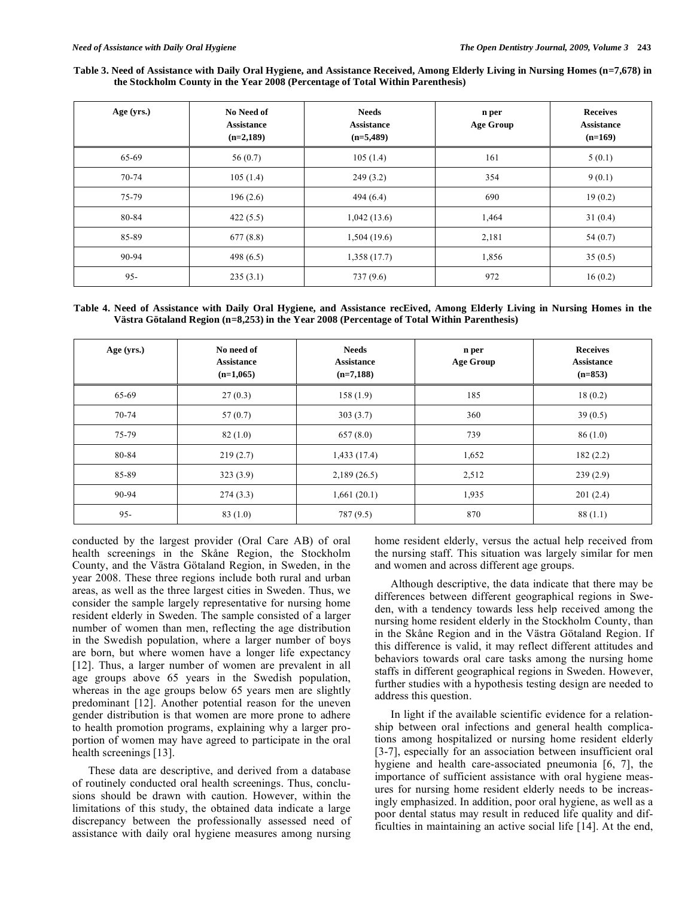**Table 3. Need of Assistance with Daily Oral Hygiene, and Assistance Received, Among Elderly Living in Nursing Homes (n=7,678) in the Stockholm County in the Year 2008 (Percentage of Total Within Parenthesis)** 

| Age (yrs.) | No Need of<br><b>Assistance</b><br>$(n=2,189)$ | <b>Needs</b><br><b>Assistance</b><br>$(n=5,489)$ | n per<br><b>Age Group</b> | <b>Receives</b><br><b>Assistance</b><br>$(n=169)$ |
|------------|------------------------------------------------|--------------------------------------------------|---------------------------|---------------------------------------------------|
| 65-69      | 56(0.7)                                        | 105(1.4)                                         | 161                       | 5(0.1)                                            |
| 70-74      | 105(1.4)                                       | 249(3.2)                                         | 354                       | 9(0.1)                                            |
| 75-79      | 196(2.6)                                       | 494(6.4)                                         | 690                       | 19(0.2)                                           |
| 80-84      | 422(5.5)                                       | 1,042(13.6)                                      | 1,464                     | 31(0.4)                                           |
| 85-89      | 677(8.8)                                       | 1,504 (19.6)                                     | 2,181                     | 54 $(0.7)$                                        |
| 90-94      | 498 $(6.5)$                                    | 1,358 (17.7)                                     | 1,856                     | 35(0.5)                                           |
| $95 -$     | 235(3.1)                                       | 737(9.6)                                         | 972                       | 16(0.2)                                           |

**Table 4. Need of Assistance with Daily Oral Hygiene, and Assistance recEived, Among Elderly Living in Nursing Homes in the Västra Götaland Region (n=8,253) in the Year 2008 (Percentage of Total Within Parenthesis)** 

| Age (yrs.) | No need of<br><b>Assistance</b><br>$(n=1,065)$ | <b>Needs</b><br><b>Assistance</b><br>$(n=7,188)$ | n per<br>Age Group | <b>Receives</b><br><b>Assistance</b><br>$(n=853)$ |
|------------|------------------------------------------------|--------------------------------------------------|--------------------|---------------------------------------------------|
| 65-69      | 27(0.3)                                        | 158(1.9)                                         | 185                | 18(0.2)                                           |
| 70-74      | 57(0.7)                                        | 303(3.7)                                         | 360                | 39(0.5)                                           |
| 75-79      | 82(1.0)                                        | 657(8.0)                                         | 739                | 86(1.0)                                           |
| 80-84      | 219(2.7)                                       | 1,433(17.4)                                      | 1,652              | 182(2.2)                                          |
| 85-89      | 323(3.9)                                       | 2,189(26.5)                                      | 2,512              | 239(2.9)                                          |
| 90-94      | 274(3.3)                                       | 1,661(20.1)                                      | 1,935              | 201(2.4)                                          |
| $95 -$     | 83(1.0)                                        | 787 (9.5)                                        | 870                | 88(1.1)                                           |

conducted by the largest provider (Oral Care AB) of oral health screenings in the Skåne Region, the Stockholm County, and the Västra Götaland Region, in Sweden, in the year 2008. These three regions include both rural and urban areas, as well as the three largest cities in Sweden. Thus, we consider the sample largely representative for nursing home resident elderly in Sweden. The sample consisted of a larger number of women than men, reflecting the age distribution in the Swedish population, where a larger number of boys are born, but where women have a longer life expectancy [12]. Thus, a larger number of women are prevalent in all age groups above 65 years in the Swedish population, whereas in the age groups below 65 years men are slightly predominant [12]. Another potential reason for the uneven gender distribution is that women are more prone to adhere to health promotion programs, explaining why a larger proportion of women may have agreed to participate in the oral health screenings [13].

These data are descriptive, and derived from a database of routinely conducted oral health screenings. Thus, conclusions should be drawn with caution. However, within the limitations of this study, the obtained data indicate a large discrepancy between the professionally assessed need of assistance with daily oral hygiene measures among nursing

home resident elderly, versus the actual help received from the nursing staff. This situation was largely similar for men and women and across different age groups.

Although descriptive, the data indicate that there may be differences between different geographical regions in Sweden, with a tendency towards less help received among the nursing home resident elderly in the Stockholm County, than in the Skåne Region and in the Västra Götaland Region. If this difference is valid, it may reflect different attitudes and behaviors towards oral care tasks among the nursing home staffs in different geographical regions in Sweden. However, further studies with a hypothesis testing design are needed to address this question.

In light if the available scientific evidence for a relationship between oral infections and general health complications among hospitalized or nursing home resident elderly [3-7], especially for an association between insufficient oral hygiene and health care-associated pneumonia [6, 7], the importance of sufficient assistance with oral hygiene measures for nursing home resident elderly needs to be increasingly emphasized. In addition, poor oral hygiene, as well as a poor dental status may result in reduced life quality and difficulties in maintaining an active social life [14]. At the end,